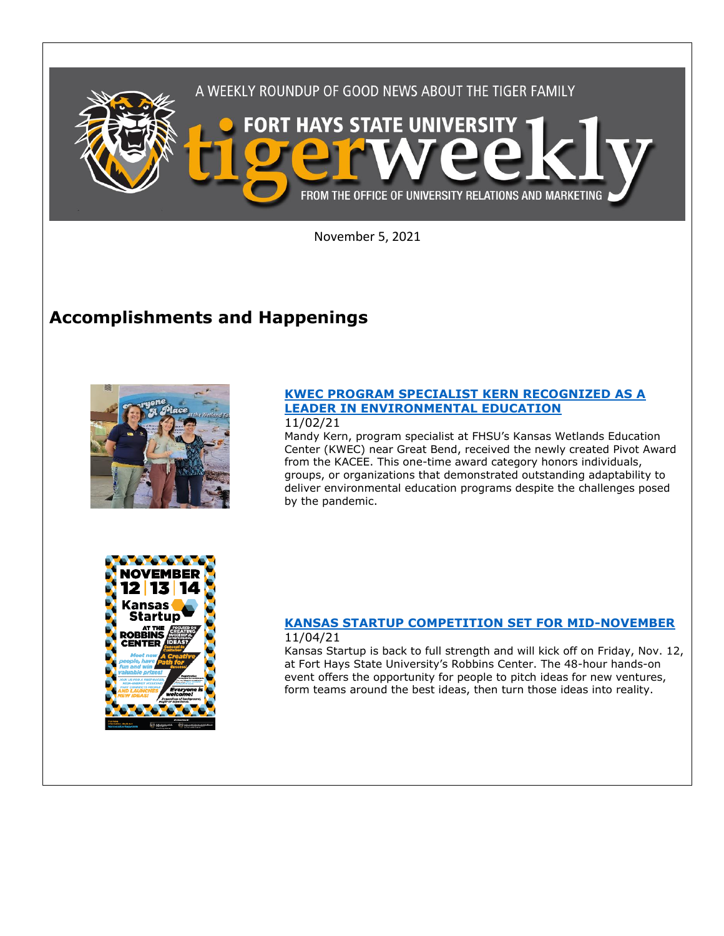

November 5, 2021

# **Accomplishments and Happenings**



## **[KWEC PROGRAM SPECIALIST KERN RECOGNIZED AS A](https://www.fhsu.edu/news/2021/11/kwec-program-specialist-kern-recognized-as-a-leader-in-environmental-education)  [LEADER IN ENVIRONMENTAL EDUCATION](https://www.fhsu.edu/news/2021/11/kwec-program-specialist-kern-recognized-as-a-leader-in-environmental-education)**

### 11/02/21

Mandy Kern, program specialist at FHSU's Kansas Wetlands Education Center (KWEC) near Great Bend, received the newly created Pivot Award from the KACEE. This one-time award category honors individuals, groups, or organizations that demonstrated outstanding adaptability to deliver environmental education programs despite the challenges posed by the pandemic.



#### **[KANSAS STARTUP COMPETITION SET FOR MID-NOVEMBER](https://www.fhsu.edu/news/2021/11/kansas-startup-set-for-mid-november)** 11/04/21

Kansas Startup is back to full strength and will kick off on Friday, Nov. 12, at Fort Hays State University's Robbins Center. The 48-hour hands-on event offers the opportunity for people to pitch ideas for new ventures, form teams around the best ideas, then turn those ideas into reality.